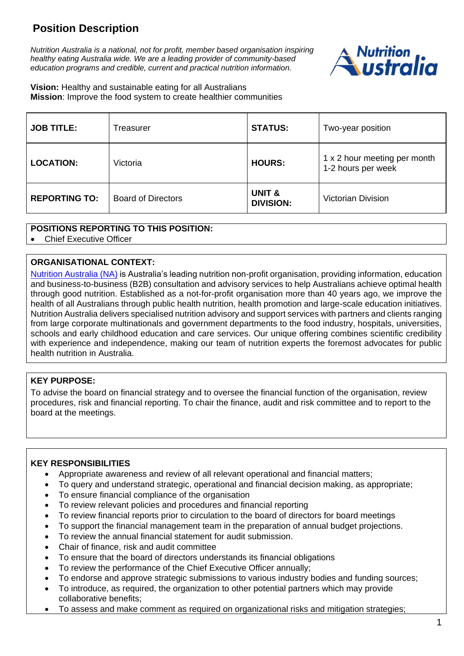# **Position Description**

*Nutrition Australia is a national, not for profit, member based organisation inspiring healthy eating Australia wide. We are a leading provider of community-based education programs and credible, current and practical nutrition information.*



**Vision:** Healthy and sustainable eating for all Australians **Mission**: Improve the food system to create healthier communities

| <b>JOB TITLE:</b>    | Treasurer                 | <b>STATUS:</b>                        | Two-year position                                  |
|----------------------|---------------------------|---------------------------------------|----------------------------------------------------|
| <b>LOCATION:</b>     | Victoria                  | <b>HOURS:</b>                         | 1 x 2 hour meeting per month<br>1-2 hours per week |
| <b>REPORTING TO:</b> | <b>Board of Directors</b> | <b>UNIT &amp;</b><br><b>DIVISION:</b> | <b>Victorian Division</b>                          |

### **POSITIONS REPORTING TO THIS POSITION:**

• Chief Executive Officer

#### **ORGANISATIONAL CONTEXT:**

[Nutrition Australia \(NA\)](http://www.nutritionaustralia.org/) is Australia's leading nutrition non-profit organisation, providing information, education and business-to-business (B2B) consultation and advisory services to help Australians achieve optimal health through good nutrition. Established as a not-for-profit organisation more than 40 years ago, we improve the health of all Australians through public health nutrition, health promotion and large-scale education initiatives. Nutrition Australia delivers specialised nutrition advisory and support services with partners and clients ranging from large corporate multinationals and government departments to the food industry, hospitals, universities, schools and early childhood education and care services. Our unique offering combines scientific credibility with experience and independence, making our team of nutrition experts the foremost advocates for public health nutrition in Australia.

#### **KEY PURPOSE:**

To advise the board on financial strategy and to oversee the financial function of the organisation, review procedures, risk and financial reporting. To chair the finance, audit and risk committee and to report to the board at the meetings.

### **KEY RESPONSIBILITIES**

- Appropriate awareness and review of all relevant operational and financial matters;
- To query and understand strategic, operational and financial decision making, as appropriate;
- To ensure financial compliance of the organisation
- To review relevant policies and procedures and financial reporting
- To review financial reports prior to circulation to the board of directors for board meetings
- To support the financial management team in the preparation of annual budget projections.
- To review the annual financial statement for audit submission.
- Chair of finance, risk and audit committee
- To ensure that the board of directors understands its financial obligations
- To review the performance of the Chief Executive Officer annually;
- To endorse and approve strategic submissions to various industry bodies and funding sources;
- To introduce, as required, the organization to other potential partners which may provide collaborative benefits;
- To assess and make comment as required on organizational risks and mitigation strategies;